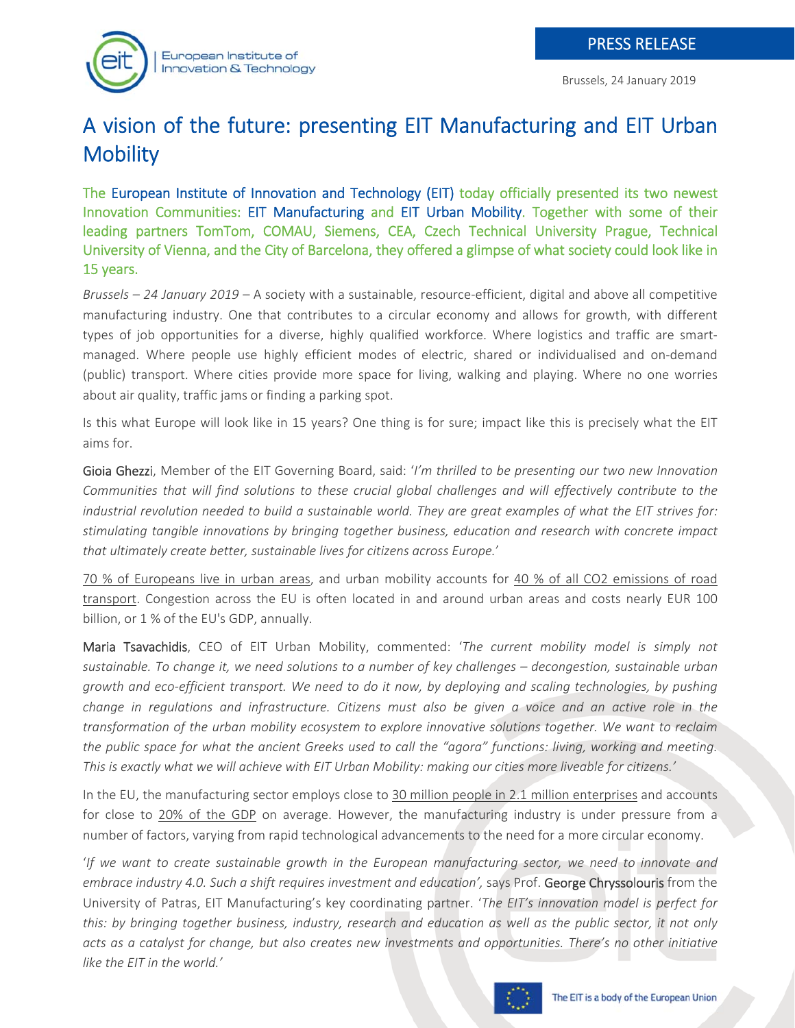# A vision of the future: presenting EIT Manufacturing and EIT Urban **Mobility**

The European Institute of Innovation and Technology (EIT) today officially presented its two newest Innovation Communities: EIT Manufacturing and EIT Urban Mobility. Together with some of their leading partners TomTom, COMAU, Siemens, CEA, Czech Technical University Prague, Technical University of Vienna, and the City of Barcelona, they offered a glimpse of what society could look like in 15 years.

*Brussels – 24 January 2019 –* A society with a sustainable, resource‐efficient, digital and above all competitive manufacturing industry. One that contributes to a circular economy and allows for growth, with different types of job opportunities for a diverse, highly qualified workforce. Where logistics and traffic are smartmanaged. Where people use highly efficient modes of electric, shared or individualised and on‐demand (public) transport. Where cities provide more space for living, walking and playing. Where no one worries about air quality, traffic jams or finding a parking spot.

Is this what Europe will look like in 15 years? One thing is for sure; impact like this is precisely what the EIT aims for.

Gioia Ghezzi, Member of the EIT Governing Board, said: '*I'm thrilled to be presenting our two new Innovation Communities that will find solutions to these crucial global challenges and will effectively contribute to the industrial revolution needed to build a sustainable world. They are great examples of what the EIT strives for: stimulating tangible innovations by bringing together business, education and research with concrete impact that ultimately create better, sustainable lives for citizens across Europe.*'

70 % of Europeans live in urban areas, and urban mobility accounts for 40 % of all CO2 emissions of road transport. Congestion across the EU is often located in and around urban areas and costs nearly EUR 100 billion, or 1 % of the EU's GDP, annually.

Maria Tsavachidis, CEO of EIT Urban Mobility, commented: '*The current mobility model is simply not sustainable. To change it, we need solutions to a number of key challenges – decongestion, sustainable urban growth and eco‐efficient transport. We need to do it now, by deploying and scaling technologies, by pushing change in regulations and infrastructure. Citizens must also be given a voice and an active role in the transformation of the urban mobility ecosystem to explore innovative solutions together. We want to reclaim the public space for what the ancient Greeks used to call the "agora" functions: living, working and meeting. This is exactly what we will achieve with EIT Urban Mobility: making our cities more liveable for citizens.'*

In the EU, the manufacturing sector employs close to 30 million people in 2.1 million enterprises and accounts for close to 20% of the GDP on average. However, the manufacturing industry is under pressure from a number of factors, varying from rapid technological advancements to the need for a more circular economy.

'*If we want to create sustainable growth in the European manufacturing sector, we need to innovate and embrace industry 4.0. Such a shift requires investment and education'*, says Prof. George Chryssolouris from the University of Patras, EIT Manufacturing's key coordinating partner. '*The EIT's innovation model is perfect for this: by bringing together business, industry, research and education as well as the public sector, it not only acts as a catalyst for change, but also creates new investments and opportunities. There's no other initiative like the EIT in the world.'*